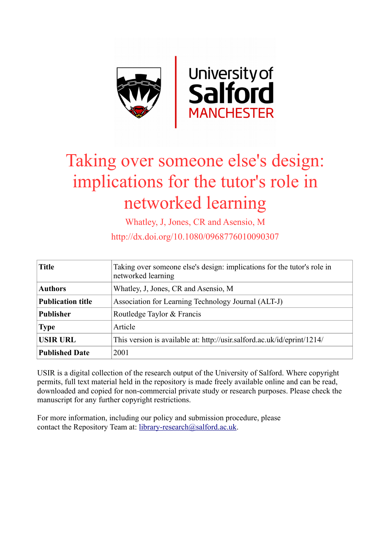

# Taking over someone else's design: implications for the tutor's role in networked learning

Whatley, J, Jones, CR and Asensio, M

http://dx.doi.org/10.1080/0968776010090307

| <b>Title</b>             | Taking over someone else's design: implications for the tutor's role in<br>networked learning |
|--------------------------|-----------------------------------------------------------------------------------------------|
| <b>Authors</b>           | Whatley, J. Jones, CR and Asensio, M.                                                         |
| <b>Publication title</b> | Association for Learning Technology Journal (ALT-J)                                           |
| <b>Publisher</b>         | Routledge Taylor & Francis                                                                    |
| <b>Type</b>              | Article                                                                                       |
| <b>USIR URL</b>          | This version is available at: http://usir.salford.ac.uk/id/eprint/1214/                       |
| <b>Published Date</b>    | 2001                                                                                          |

USIR is a digital collection of the research output of the University of Salford. Where copyright permits, full text material held in the repository is made freely available online and can be read, downloaded and copied for non-commercial private study or research purposes. Please check the manuscript for any further copyright restrictions.

For more information, including our policy and submission procedure, please contact the Repository Team at: [library-research@salford.ac.uk.](mailto:library-research@salford.ac.uk)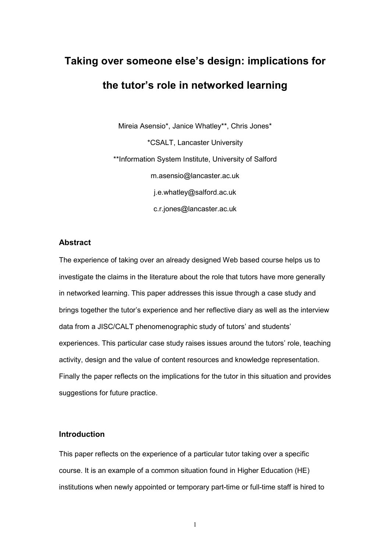# Taking over someone else's design: implications for the tutor's role in networked learning

Mireia Asensio\*, Janice Whatley\*\*, Chris Jones\* \*CSALT, Lancaster University \*\*Information System Institute, University of Salford m.asensio@lancaster.ac.uk j.e.whatley@salford.ac.uk c.r.jones@lancaster.ac.uk

# Abstract

The experience of taking over an already designed Web based course helps us to investigate the claims in the literature about the role that tutors have more generally in networked learning. This paper addresses this issue through a case study and brings together the tutor's experience and her reflective diary as well as the interview data from a JISC/CALT phenomenographic study of tutors' and students' experiences. This particular case study raises issues around the tutors' role, teaching activity, design and the value of content resources and knowledge representation. Finally the paper reflects on the implications for the tutor in this situation and provides suggestions for future practice.

# Introduction

This paper reflects on the experience of a particular tutor taking over a specific course. It is an example of a common situation found in Higher Education (HE) institutions when newly appointed or temporary part-time or full-time staff is hired to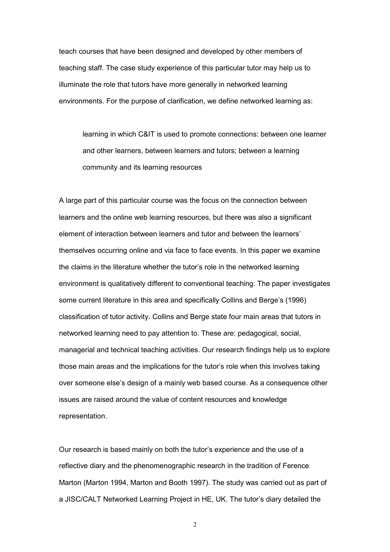teach courses that have been designed and developed by other members of teaching staff. The case study experience of this particular tutor may help us to illuminate the role that tutors have more generally in networked learning environments. For the purpose of clarification, we define networked learning as:

learning in which C&IT is used to promote connections: between one learner and other learners, between learners and tutors; between a learning community and its learning resources

A large part of this particular course was the focus on the connection between learners and the online web learning resources, but there was also a significant element of interaction between learners and tutor and between the learners' themselves occurring online and via face to face events. In this paper we examine the claims in the literature whether the tutor's role in the networked learning environment is qualitatively different to conventional teaching. The paper investigates some current literature in this area and specifically Collins and Berge's (1996) classification of tutor activity. Collins and Berge state four main areas that tutors in networked learning need to pay attention to. These are: pedagogical, social, managerial and technical teaching activities. Our research findings help us to explore those main areas and the implications for the tutor's role when this involves taking over someone else's design of a mainly web based course. As a consequence other issues are raised around the value of content resources and knowledge representation.

Our research is based mainly on both the tutor's experience and the use of a reflective diary and the phenomenographic research in the tradition of Ference Marton (Marton 1994, Marton and Booth 1997). The study was carried out as part of a JISC/CALT Networked Learning Project in HE, UK. The tutor's diary detailed the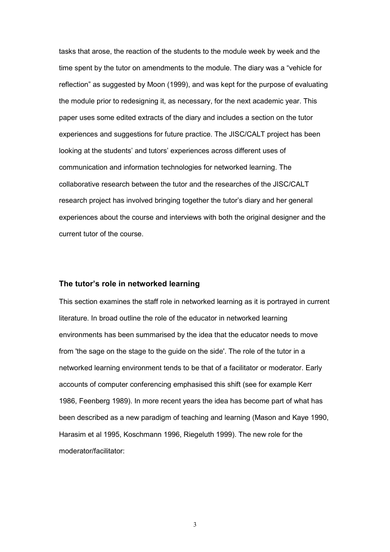tasks that arose, the reaction of the students to the module week by week and the time spent by the tutor on amendments to the module. The diary was a "vehicle for reflection" as suggested by Moon (1999), and was kept for the purpose of evaluating the module prior to redesigning it, as necessary, for the next academic year. This paper uses some edited extracts of the diary and includes a section on the tutor experiences and suggestions for future practice. The JISC/CALT project has been looking at the students' and tutors' experiences across different uses of communication and information technologies for networked learning. The collaborative research between the tutor and the researches of the JISC/CALT research project has involved bringing together the tutor's diary and her general experiences about the course and interviews with both the original designer and the current tutor of the course.

# The tutor's role in networked learning

This section examines the staff role in networked learning as it is portrayed in current literature. In broad outline the role of the educator in networked learning environments has been summarised by the idea that the educator needs to move from 'the sage on the stage to the guide on the side'. The role of the tutor in a networked learning environment tends to be that of a facilitator or moderator. Early accounts of computer conferencing emphasised this shift (see for example Kerr 1986, Feenberg 1989). In more recent years the idea has become part of what has been described as a new paradigm of teaching and learning (Mason and Kaye 1990, Harasim et al 1995, Koschmann 1996, Riegeluth 1999). The new role for the moderator/facilitator: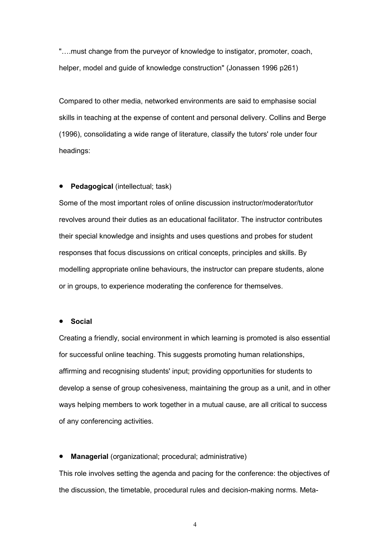"….must change from the purveyor of knowledge to instigator, promoter, coach, helper, model and guide of knowledge construction" (Jonassen 1996 p261)

Compared to other media, networked environments are said to emphasise social skills in teaching at the expense of content and personal delivery. Collins and Berge (1996), consolidating a wide range of literature, classify the tutors' role under four headings:

# • Pedagogical (intellectual; task)

Some of the most important roles of online discussion instructor/moderator/tutor revolves around their duties as an educational facilitator. The instructor contributes their special knowledge and insights and uses questions and probes for student responses that focus discussions on critical concepts, principles and skills. By modelling appropriate online behaviours, the instructor can prepare students, alone or in groups, to experience moderating the conference for themselves.

#### • Social

Creating a friendly, social environment in which learning is promoted is also essential for successful online teaching. This suggests promoting human relationships, affirming and recognising students' input; providing opportunities for students to develop a sense of group cohesiveness, maintaining the group as a unit, and in other ways helping members to work together in a mutual cause, are all critical to success of any conferencing activities.

• Managerial (organizational; procedural; administrative)

This role involves setting the agenda and pacing for the conference: the objectives of the discussion, the timetable, procedural rules and decision-making norms. Meta-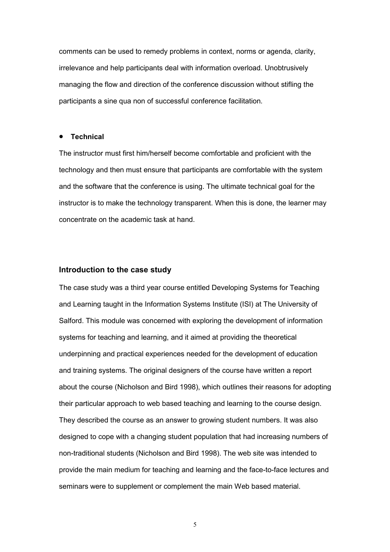comments can be used to remedy problems in context, norms or agenda, clarity, irrelevance and help participants deal with information overload. Unobtrusively managing the flow and direction of the conference discussion without stifling the participants a sine qua non of successful conference facilitation.

#### • Technical

The instructor must first him/herself become comfortable and proficient with the technology and then must ensure that participants are comfortable with the system and the software that the conference is using. The ultimate technical goal for the instructor is to make the technology transparent. When this is done, the learner may concentrate on the academic task at hand.

# Introduction to the case study

The case study was a third year course entitled Developing Systems for Teaching and Learning taught in the Information Systems Institute (ISI) at The University of Salford. This module was concerned with exploring the development of information systems for teaching and learning, and it aimed at providing the theoretical underpinning and practical experiences needed for the development of education and training systems. The original designers of the course have written a report about the course (Nicholson and Bird 1998), which outlines their reasons for adopting their particular approach to web based teaching and learning to the course design. They described the course as an answer to growing student numbers. It was also designed to cope with a changing student population that had increasing numbers of non-traditional students (Nicholson and Bird 1998). The web site was intended to provide the main medium for teaching and learning and the face-to-face lectures and seminars were to supplement or complement the main Web based material.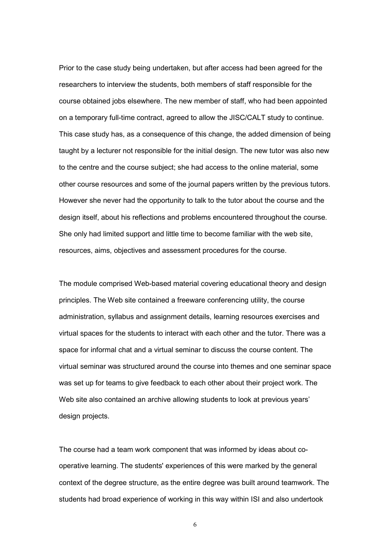Prior to the case study being undertaken, but after access had been agreed for the researchers to interview the students, both members of staff responsible for the course obtained jobs elsewhere. The new member of staff, who had been appointed on a temporary full-time contract, agreed to allow the JISC/CALT study to continue. This case study has, as a consequence of this change, the added dimension of being taught by a lecturer not responsible for the initial design. The new tutor was also new to the centre and the course subject; she had access to the online material, some other course resources and some of the journal papers written by the previous tutors. However she never had the opportunity to talk to the tutor about the course and the design itself, about his reflections and problems encountered throughout the course. She only had limited support and little time to become familiar with the web site, resources, aims, objectives and assessment procedures for the course.

The module comprised Web-based material covering educational theory and design principles. The Web site contained a freeware conferencing utility, the course administration, syllabus and assignment details, learning resources exercises and virtual spaces for the students to interact with each other and the tutor. There was a space for informal chat and a virtual seminar to discuss the course content. The virtual seminar was structured around the course into themes and one seminar space was set up for teams to give feedback to each other about their project work. The Web site also contained an archive allowing students to look at previous years' design projects.

The course had a team work component that was informed by ideas about cooperative learning. The students' experiences of this were marked by the general context of the degree structure, as the entire degree was built around teamwork. The students had broad experience of working in this way within ISI and also undertook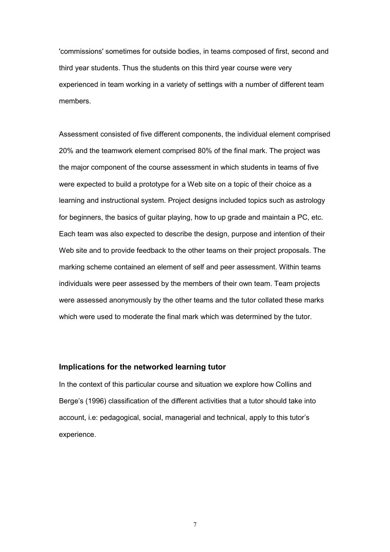'commissions' sometimes for outside bodies, in teams composed of first, second and third year students. Thus the students on this third year course were very experienced in team working in a variety of settings with a number of different team members.

Assessment consisted of five different components, the individual element comprised 20% and the teamwork element comprised 80% of the final mark. The project was the major component of the course assessment in which students in teams of five were expected to build a prototype for a Web site on a topic of their choice as a learning and instructional system. Project designs included topics such as astrology for beginners, the basics of guitar playing, how to up grade and maintain a PC, etc. Each team was also expected to describe the design, purpose and intention of their Web site and to provide feedback to the other teams on their project proposals. The marking scheme contained an element of self and peer assessment. Within teams individuals were peer assessed by the members of their own team. Team projects were assessed anonymously by the other teams and the tutor collated these marks which were used to moderate the final mark which was determined by the tutor.

# Implications for the networked learning tutor

In the context of this particular course and situation we explore how Collins and Berge's (1996) classification of the different activities that a tutor should take into account, i.e: pedagogical, social, managerial and technical, apply to this tutor's experience.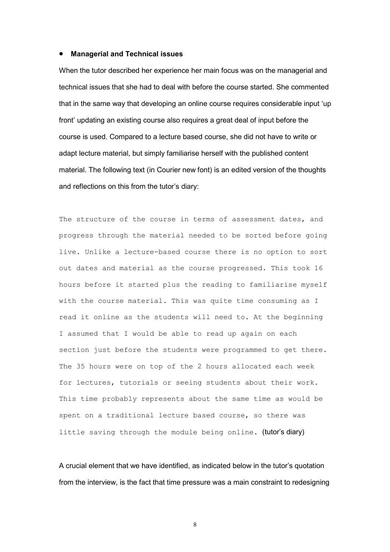#### • Managerial and Technical issues

When the tutor described her experience her main focus was on the managerial and technical issues that she had to deal with before the course started. She commented that in the same way that developing an online course requires considerable input 'up front' updating an existing course also requires a great deal of input before the course is used. Compared to a lecture based course, she did not have to write or adapt lecture material, but simply familiarise herself with the published content material. The following text (in Courier new font) is an edited version of the thoughts and reflections on this from the tutor's diary:

The structure of the course in terms of assessment dates, and progress through the material needed to be sorted before going live. Unlike a lecture-based course there is no option to sort out dates and material as the course progressed. This took 16 hours before it started plus the reading to familiarise myself with the course material. This was quite time consuming as I read it online as the students will need to. At the beginning I assumed that I would be able to read up again on each section just before the students were programmed to get there. The 35 hours were on top of the 2 hours allocated each week for lectures, tutorials or seeing students about their work. This time probably represents about the same time as would be spent on a traditional lecture based course, so there was little saving through the module being online. (tutor's diary)

A crucial element that we have identified, as indicated below in the tutor's quotation from the interview, is the fact that time pressure was a main constraint to redesigning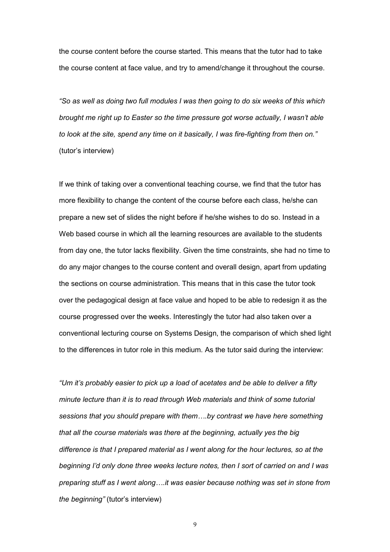the course content before the course started. This means that the tutor had to take the course content at face value, and try to amend/change it throughout the course.

"So as well as doing two full modules I was then going to do six weeks of this which brought me right up to Easter so the time pressure got worse actually, I wasn't able to look at the site, spend any time on it basically, I was fire-fighting from then on." (tutor's interview)

If we think of taking over a conventional teaching course, we find that the tutor has more flexibility to change the content of the course before each class, he/she can prepare a new set of slides the night before if he/she wishes to do so. Instead in a Web based course in which all the learning resources are available to the students from day one, the tutor lacks flexibility. Given the time constraints, she had no time to do any major changes to the course content and overall design, apart from updating the sections on course administration. This means that in this case the tutor took over the pedagogical design at face value and hoped to be able to redesign it as the course progressed over the weeks. Interestingly the tutor had also taken over a conventional lecturing course on Systems Design, the comparison of which shed light to the differences in tutor role in this medium. As the tutor said during the interview:

"Um it's probably easier to pick up a load of acetates and be able to deliver a fifty minute lecture than it is to read through Web materials and think of some tutorial sessions that you should prepare with them….by contrast we have here something that all the course materials was there at the beginning, actually yes the big difference is that I prepared material as I went along for the hour lectures, so at the beginning I'd only done three weeks lecture notes, then I sort of carried on and I was preparing stuff as I went along….it was easier because nothing was set in stone from the beginning" (tutor's interview)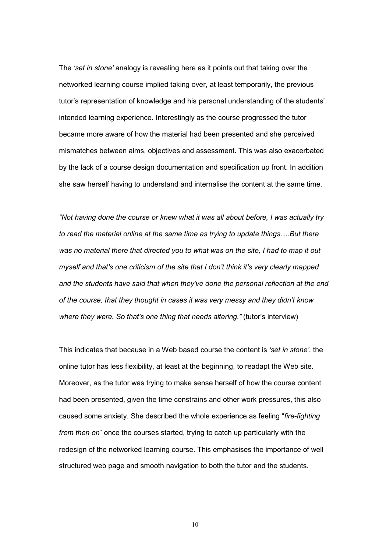The 'set in stone' analogy is revealing here as it points out that taking over the networked learning course implied taking over, at least temporarily, the previous tutor's representation of knowledge and his personal understanding of the students' intended learning experience. Interestingly as the course progressed the tutor became more aware of how the material had been presented and she perceived mismatches between aims, objectives and assessment. This was also exacerbated by the lack of a course design documentation and specification up front. In addition she saw herself having to understand and internalise the content at the same time.

"Not having done the course or knew what it was all about before, I was actually try to read the material online at the same time as trying to update things….But there was no material there that directed you to what was on the site, I had to map it out myself and that's one criticism of the site that I don't think it's very clearly mapped and the students have said that when they've done the personal reflection at the end of the course, that they thought in cases it was very messy and they didn't know where they were. So that's one thing that needs altering." (tutor's interview)

This indicates that because in a Web based course the content is 'set in stone', the online tutor has less flexibility, at least at the beginning, to readapt the Web site. Moreover, as the tutor was trying to make sense herself of how the course content had been presented, given the time constrains and other work pressures, this also caused some anxiety. She described the whole experience as feeling "fire-fighting from then on" once the courses started, trying to catch up particularly with the redesign of the networked learning course. This emphasises the importance of well structured web page and smooth navigation to both the tutor and the students.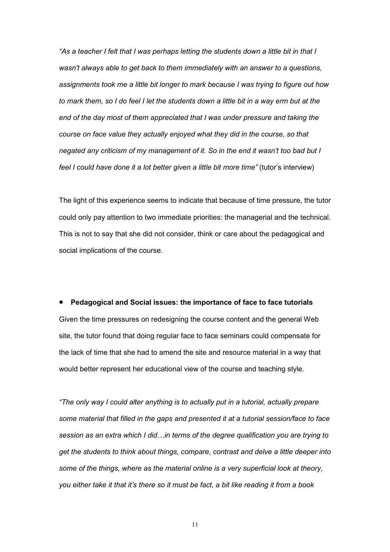"As a teacher I felt that I was perhaps letting the students down a little bit in that I wasn't always able to get back to them immediately with an answer to a questions, assignments took me a little bit longer to mark because I was trying to figure out how to mark them, so I do feel I let the students down a little bit in a way erm but at the end of the day most of them appreciated that I was under pressure and taking the course on face value they actually enjoyed what they did in the course, so that negated any criticism of my management of it. So in the end it wasn't too bad but I feel I could have done it a lot better given a little bit more time" (tutor's interview)

The light of this experience seems to indicate that because of time pressure, the tutor could only pay attention to two immediate priorities: the managerial and the technical. This is not to say that she did not consider, think or care about the pedagogical and social implications of the course.

• Pedagogical and Social issues: the importance of face to face tutorials Given the time pressures on redesigning the course content and the general Web site, the tutor found that doing regular face to face seminars could compensate for the lack of time that she had to amend the site and resource material in a way that would better represent her educational view of the course and teaching style.

"The only way I could alter anything is to actually put in a tutorial, actually prepare some material that filled in the gaps and presented it at a tutorial session/face to face session as an extra which I did…in terms of the degree qualification you are trying to get the students to think about things, compare, contrast and delve a little deeper into some of the things, where as the material online is a very superficial look at theory, you either take it that it's there so it must be fact, a bit like reading it from a book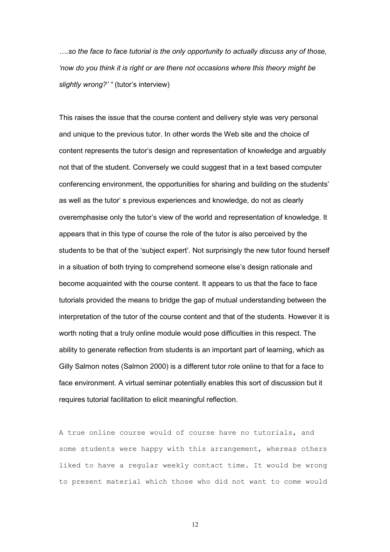….so the face to face tutorial is the only opportunity to actually discuss any of those, 'now do you think it is right or are there not occasions where this theory might be slightly wrong?' " (tutor's interview)

This raises the issue that the course content and delivery style was very personal and unique to the previous tutor. In other words the Web site and the choice of content represents the tutor's design and representation of knowledge and arguably not that of the student. Conversely we could suggest that in a text based computer conferencing environment, the opportunities for sharing and building on the students' as well as the tutor' s previous experiences and knowledge, do not as clearly overemphasise only the tutor's view of the world and representation of knowledge. It appears that in this type of course the role of the tutor is also perceived by the students to be that of the 'subject expert'. Not surprisingly the new tutor found herself in a situation of both trying to comprehend someone else's design rationale and become acquainted with the course content. It appears to us that the face to face tutorials provided the means to bridge the gap of mutual understanding between the interpretation of the tutor of the course content and that of the students. However it is worth noting that a truly online module would pose difficulties in this respect. The ability to generate reflection from students is an important part of learning, which as Gilly Salmon notes (Salmon 2000) is a different tutor role online to that for a face to face environment. A virtual seminar potentially enables this sort of discussion but it requires tutorial facilitation to elicit meaningful reflection.

A true online course would of course have no tutorials, and some students were happy with this arrangement, whereas others liked to have a regular weekly contact time. It would be wrong to present material which those who did not want to come would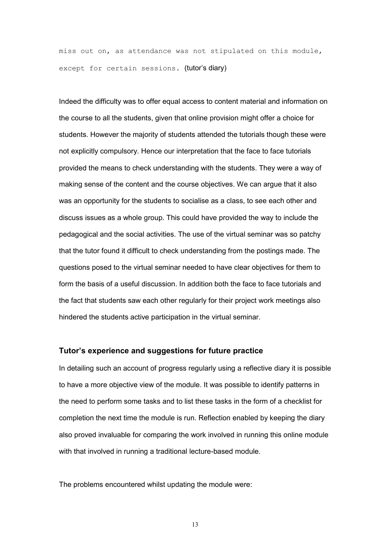miss out on, as attendance was not stipulated on this module, except for certain sessions. (tutor's diary)

Indeed the difficulty was to offer equal access to content material and information on the course to all the students, given that online provision might offer a choice for students. However the majority of students attended the tutorials though these were not explicitly compulsory. Hence our interpretation that the face to face tutorials provided the means to check understanding with the students. They were a way of making sense of the content and the course objectives. We can argue that it also was an opportunity for the students to socialise as a class, to see each other and discuss issues as a whole group. This could have provided the way to include the pedagogical and the social activities. The use of the virtual seminar was so patchy that the tutor found it difficult to check understanding from the postings made. The questions posed to the virtual seminar needed to have clear objectives for them to form the basis of a useful discussion. In addition both the face to face tutorials and the fact that students saw each other regularly for their project work meetings also hindered the students active participation in the virtual seminar.

## Tutor's experience and suggestions for future practice

In detailing such an account of progress regularly using a reflective diary it is possible to have a more objective view of the module. It was possible to identify patterns in the need to perform some tasks and to list these tasks in the form of a checklist for completion the next time the module is run. Reflection enabled by keeping the diary also proved invaluable for comparing the work involved in running this online module with that involved in running a traditional lecture-based module.

The problems encountered whilst updating the module were: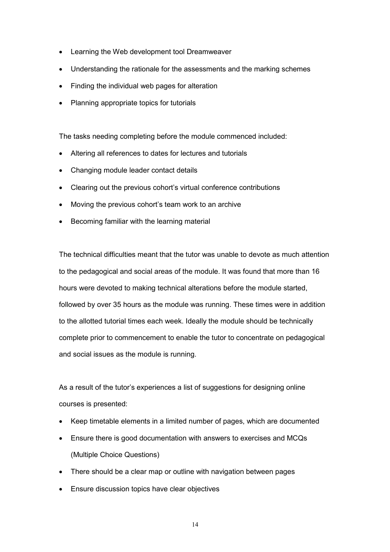- Learning the Web development tool Dreamweaver
- Understanding the rationale for the assessments and the marking schemes
- Finding the individual web pages for alteration
- Planning appropriate topics for tutorials

The tasks needing completing before the module commenced included:

- Altering all references to dates for lectures and tutorials
- Changing module leader contact details
- Clearing out the previous cohort's virtual conference contributions
- Moving the previous cohort's team work to an archive
- Becoming familiar with the learning material

The technical difficulties meant that the tutor was unable to devote as much attention to the pedagogical and social areas of the module. It was found that more than 16 hours were devoted to making technical alterations before the module started, followed by over 35 hours as the module was running. These times were in addition to the allotted tutorial times each week. Ideally the module should be technically complete prior to commencement to enable the tutor to concentrate on pedagogical and social issues as the module is running.

As a result of the tutor's experiences a list of suggestions for designing online courses is presented:

- Keep timetable elements in a limited number of pages, which are documented
- Ensure there is good documentation with answers to exercises and MCQs (Multiple Choice Questions)
- There should be a clear map or outline with navigation between pages
- Ensure discussion topics have clear objectives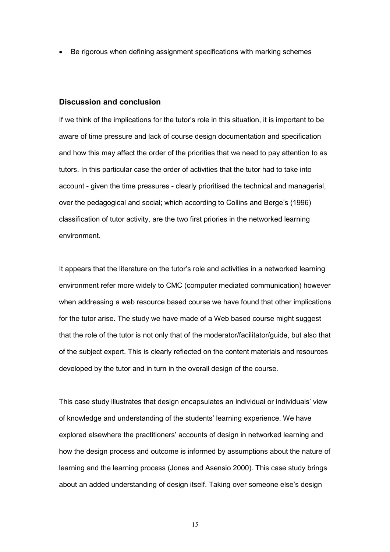• Be rigorous when defining assignment specifications with marking schemes

## Discussion and conclusion

If we think of the implications for the tutor's role in this situation, it is important to be aware of time pressure and lack of course design documentation and specification and how this may affect the order of the priorities that we need to pay attention to as tutors. In this particular case the order of activities that the tutor had to take into account - given the time pressures - clearly prioritised the technical and managerial, over the pedagogical and social; which according to Collins and Berge's (1996) classification of tutor activity, are the two first priories in the networked learning environment.

It appears that the literature on the tutor's role and activities in a networked learning environment refer more widely to CMC (computer mediated communication) however when addressing a web resource based course we have found that other implications for the tutor arise. The study we have made of a Web based course might suggest that the role of the tutor is not only that of the moderator/facilitator/guide, but also that of the subject expert. This is clearly reflected on the content materials and resources developed by the tutor and in turn in the overall design of the course.

This case study illustrates that design encapsulates an individual or individuals' view of knowledge and understanding of the students' learning experience. We have explored elsewhere the practitioners' accounts of design in networked learning and how the design process and outcome is informed by assumptions about the nature of learning and the learning process (Jones and Asensio 2000). This case study brings about an added understanding of design itself. Taking over someone else's design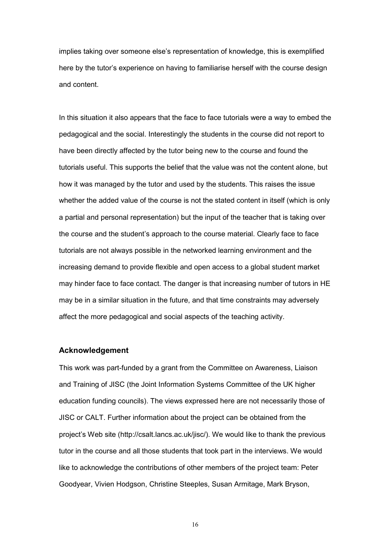implies taking over someone else's representation of knowledge, this is exemplified here by the tutor's experience on having to familiarise herself with the course design and content.

In this situation it also appears that the face to face tutorials were a way to embed the pedagogical and the social. Interestingly the students in the course did not report to have been directly affected by the tutor being new to the course and found the tutorials useful. This supports the belief that the value was not the content alone, but how it was managed by the tutor and used by the students. This raises the issue whether the added value of the course is not the stated content in itself (which is only a partial and personal representation) but the input of the teacher that is taking over the course and the student's approach to the course material. Clearly face to face tutorials are not always possible in the networked learning environment and the increasing demand to provide flexible and open access to a global student market may hinder face to face contact. The danger is that increasing number of tutors in HE may be in a similar situation in the future, and that time constraints may adversely affect the more pedagogical and social aspects of the teaching activity.

## Acknowledgement

This work was part-funded by a grant from the Committee on Awareness, Liaison and Training of JISC (the Joint Information Systems Committee of the UK higher education funding councils). The views expressed here are not necessarily those of JISC or CALT. Further information about the project can be obtained from the project's Web site (http://csalt.lancs.ac.uk/jisc/). We would like to thank the previous tutor in the course and all those students that took part in the interviews. We would like to acknowledge the contributions of other members of the project team: Peter Goodyear, Vivien Hodgson, Christine Steeples, Susan Armitage, Mark Bryson,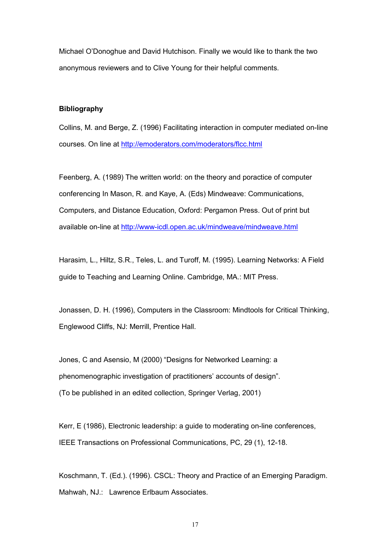Michael O'Donoghue and David Hutchison. Finally we would like to thank the two anonymous reviewers and to Clive Young for their helpful comments.

#### Bibliography

Collins, M. and Berge, Z. (1996) Facilitating interaction in computer mediated on-line courses. On line at http://emoderators.com/moderators/flcc.html

Feenberg, A. (1989) The written world: on the theory and poractice of computer conferencing In Mason, R. and Kaye, A. (Eds) Mindweave: Communications, Computers, and Distance Education, Oxford: Pergamon Press. Out of print but available on-line at http://www-icdl.open.ac.uk/mindweave/mindweave.html

Harasim, L., Hiltz, S.R., Teles, L. and Turoff, M. (1995). Learning Networks: A Field guide to Teaching and Learning Online. Cambridge, MA.: MIT Press.

Jonassen, D. H. (1996), Computers in the Classroom: Mindtools for Critical Thinking, Englewood Cliffs, NJ: Merrill, Prentice Hall.

Jones, C and Asensio, M (2000) "Designs for Networked Learning: a phenomenographic investigation of practitioners' accounts of design". (To be published in an edited collection, Springer Verlag, 2001)

Kerr, E (1986), Electronic leadership: a guide to moderating on-line conferences, IEEE Transactions on Professional Communications, PC, 29 (1), 12-18.

Koschmann, T. (Ed.). (1996). CSCL: Theory and Practice of an Emerging Paradigm. Mahwah, NJ.: Lawrence Erlbaum Associates.